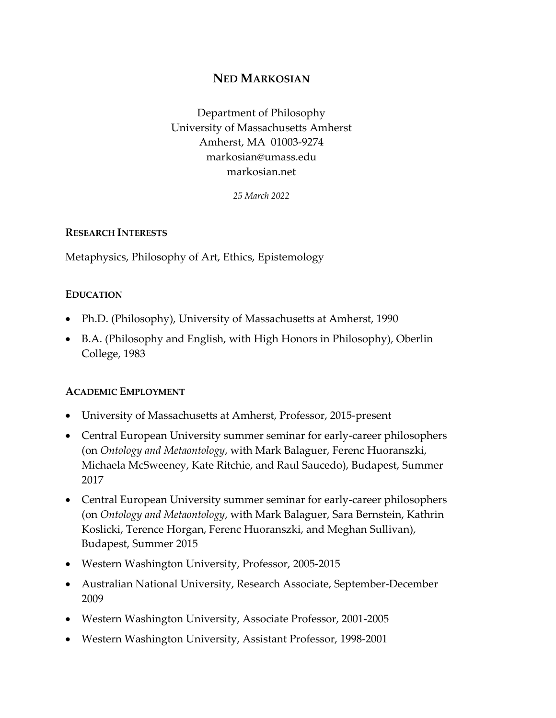# **NED MARKOSIAN**

Department of Philosophy University of Massachusetts Amherst Amherst, MA 01003-9274 markosian@umass.edu markosian.net

*25 March 2022*

#### **RESEARCH INTERESTS**

Metaphysics, Philosophy of Art, Ethics, Epistemology

### **EDUCATION**

- Ph.D. (Philosophy), University of Massachusetts at Amherst, 1990
- B.A. (Philosophy and English, with High Honors in Philosophy), Oberlin College, 1983

### **ACADEMIC EMPLOYMENT**

- University of Massachusetts at Amherst, Professor, 2015-present
- Central European University summer seminar for early-career philosophers (on *Ontology and Metaontology*, with Mark Balaguer, Ferenc Huoranszki, Michaela McSweeney, Kate Ritchie, and Raul Saucedo), Budapest, Summer 2017
- Central European University summer seminar for early-career philosophers (on *Ontology and Metaontology*, with Mark Balaguer, Sara Bernstein, Kathrin Koslicki, Terence Horgan, Ferenc Huoranszki, and Meghan Sullivan), Budapest, Summer 2015
- Western Washington University, Professor, 2005-2015
- Australian National University, Research Associate, September-December 2009
- Western Washington University, Associate Professor, 2001-2005
- Western Washington University, Assistant Professor, 1998-2001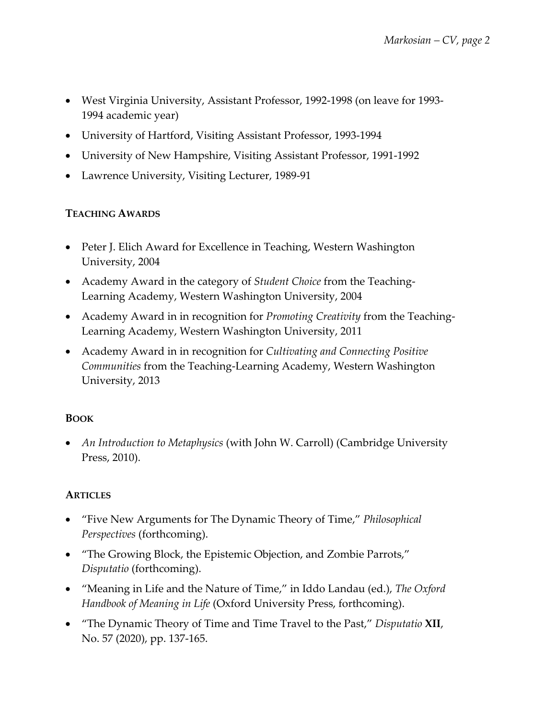- West Virginia University, Assistant Professor, 1992-1998 (on leave for 1993- 1994 academic year)
- University of Hartford, Visiting Assistant Professor, 1993-1994
- University of New Hampshire, Visiting Assistant Professor, 1991-1992
- Lawrence University, Visiting Lecturer, 1989-91

## **TEACHING AWARDS**

- Peter J. Elich Award for Excellence in Teaching, Western Washington University, 2004
- Academy Award in the category of *Student Choice* from the Teaching-Learning Academy, Western Washington University, 2004
- Academy Award in in recognition for *Promoting Creativity* from the Teaching-Learning Academy, Western Washington University, 2011
- Academy Award in in recognition for *Cultivating and Connecting Positive Communities* from the Teaching-Learning Academy, Western Washington University, 2013

## **BOOK**

• *An Introduction to Metaphysics* (with John W. Carroll) (Cambridge University Press, 2010).

## **ARTICLES**

- "Five New Arguments for The Dynamic Theory of Time," *Philosophical Perspectives* (forthcoming).
- "The Growing Block, the Epistemic Objection, and Zombie Parrots," *Disputatio* (forthcoming).
- "Meaning in Life and the Nature of Time," in Iddo Landau (ed.), *The Oxford Handbook of Meaning in Life* (Oxford University Press, forthcoming).
- "The Dynamic Theory of Time and Time Travel to the Past," *Disputatio* **XII**, No. 57 (2020), pp. 137-165.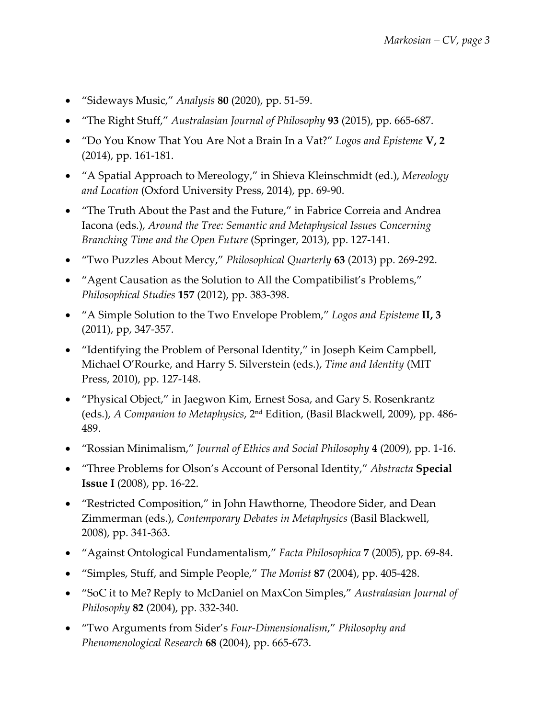- "Sideways Music," *Analysis* **80** (2020), pp. 51-59.
- "The Right Stuff," *Australasian Journal of Philosophy* **93** (2015), pp. 665-687.
- "Do You Know That You Are Not a Brain In a Vat?" *Logos and Episteme* **V, 2** (2014), pp. 161-181.
- "A Spatial Approach to Mereology," in Shieva Kleinschmidt (ed.), *Mereology and Location* (Oxford University Press, 2014), pp. 69-90.
- "The Truth About the Past and the Future," in Fabrice Correia and Andrea Iacona (eds.), *Around the Tree: Semantic and Metaphysical Issues Concerning Branching Time and the Open Future* (Springer, 2013), pp. 127-141.
- "Two Puzzles About Mercy," *Philosophical Quarterly* **63** (2013) pp. 269-292.
- "Agent Causation as the Solution to All the Compatibilist's Problems," *Philosophical Studies* **157** (2012), pp. 383-398.
- "A Simple Solution to the Two Envelope Problem," *Logos and Episteme* **II, 3** (2011), pp, 347-357.
- "Identifying the Problem of Personal Identity," in Joseph Keim Campbell, Michael O'Rourke, and Harry S. Silverstein (eds.), *Time and Identity* (MIT Press, 2010), pp. 127-148.
- "Physical Object," in Jaegwon Kim, Ernest Sosa, and Gary S. Rosenkrantz (eds.), *A Companion to Metaphysics*, 2nd Edition, (Basil Blackwell, 2009), pp. 486- 489.
- "Rossian Minimalism," *Journal of Ethics and Social Philosophy* **4** (2009), pp. 1-16.
- "Three Problems for Olson's Account of Personal Identity," *Abstracta* **Special Issue I** (2008), pp. 16-22.
- "Restricted Composition," in John Hawthorne, Theodore Sider, and Dean Zimmerman (eds.), *Contemporary Debates in Metaphysics* (Basil Blackwell, 2008), pp. 341-363.
- "Against Ontological Fundamentalism," *Facta Philosophica* **7** (2005), pp. 69-84.
- "Simples, Stuff, and Simple People," *The Monist* **87** (2004), pp. 405-428.
- "SoC it to Me? Reply to McDaniel on MaxCon Simples," *Australasian Journal of Philosophy* **82** (2004), pp. 332-340.
- "Two Arguments from Sider's *Four-Dimensionalism*," *Philosophy and Phenomenological Research* **68** (2004), pp. 665-673.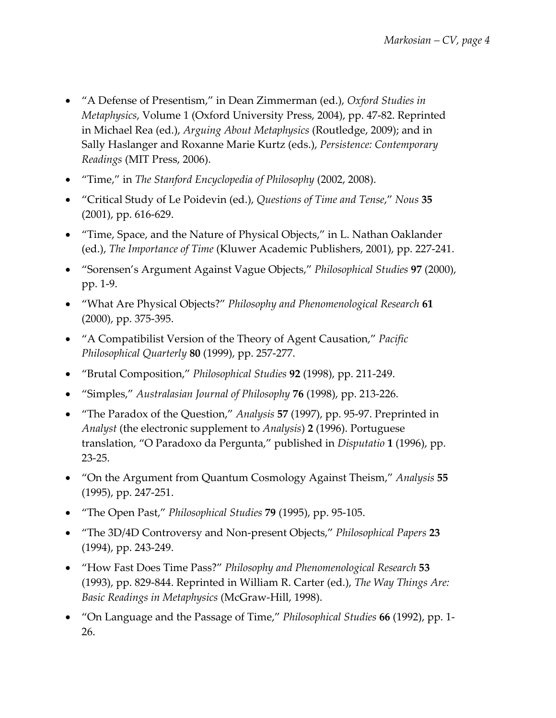- "A Defense of Presentism," in Dean Zimmerman (ed.), *Oxford Studies in Metaphysics*, Volume 1 (Oxford University Press, 2004), pp. 47-82. Reprinted in Michael Rea (ed.), *Arguing About Metaphysics* (Routledge, 2009); and in Sally Haslanger and Roxanne Marie Kurtz (eds.), *Persistence: Contemporary Readings* (MIT Press, 2006).
- "Time," in *The Stanford Encyclopedia of Philosophy* (2002, 2008).
- "Critical Study of Le Poidevin (ed.), *Questions of Time and Tense*," *Nous* **35** (2001), pp. 616-629.
- "Time, Space, and the Nature of Physical Objects," in L. Nathan Oaklander (ed.), *The Importance of Time* (Kluwer Academic Publishers, 2001), pp. 227-241.
- "Sorensen's Argument Against Vague Objects," *Philosophical Studies* **97** (2000), pp. 1-9.
- "What Are Physical Objects?" *Philosophy and Phenomenological Research* **61** (2000), pp. 375-395.
- "A Compatibilist Version of the Theory of Agent Causation," *Pacific Philosophical Quarterly* **80** (1999), pp. 257-277.
- "Brutal Composition," *Philosophical Studies* **92** (1998), pp. 211-249.
- "Simples," *Australasian Journal of Philosophy* **76** (1998), pp. 213-226.
- "The Paradox of the Question," *Analysis* **57** (1997), pp. 95-97. Preprinted in *Analyst* (the electronic supplement to *Analysis*) **2** (1996). Portuguese translation, "O Paradoxo da Pergunta," published in *Disputatio* **1** (1996), pp. 23-25.
- "On the Argument from Quantum Cosmology Against Theism," *Analysis* **55** (1995), pp. 247-251.
- "The Open Past," *Philosophical Studies* **79** (1995), pp. 95-105.
- "The 3D/4D Controversy and Non-present Objects," *Philosophical Papers* **23** (1994), pp. 243-249.
- "How Fast Does Time Pass?" *Philosophy and Phenomenological Research* **53** (1993), pp. 829-844. Reprinted in William R. Carter (ed.), *The Way Things Are: Basic Readings in Metaphysics* (McGraw-Hill, 1998).
- "On Language and the Passage of Time," *Philosophical Studies* **66** (1992), pp. 1- 26.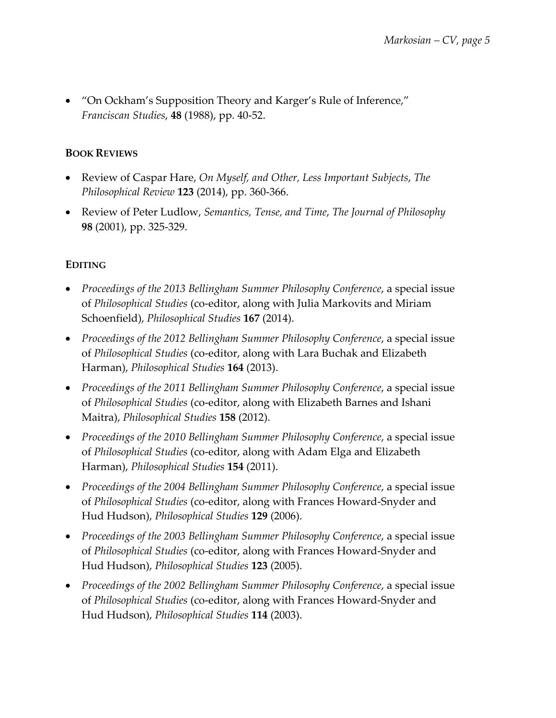• "On Ockham's Supposition Theory and Karger's Rule of Inference," *Franciscan Studies*, **48** (1988), pp. 40-52.

## **BOOK REVIEWS**

- Review of Caspar Hare, *On Myself, and Other, Less Important Subjects*, *The Philosophical Review* **123** (2014), pp. 360-366.
- Review of Peter Ludlow, *Semantics, Tense, and Time*, *The Journal of Philosophy* **98** (2001), pp. 325-329.

# **EDITING**

- *Proceedings of the 2013 Bellingham Summer Philosophy Conference*, a special issue of *Philosophical Studies* (co-editor, along with Julia Markovits and Miriam Schoenfield), *Philosophical Studies* **167** (2014).
- *Proceedings of the 2012 Bellingham Summer Philosophy Conference*, a special issue of *Philosophical Studies* (co-editor, along with Lara Buchak and Elizabeth Harman), *Philosophical Studies* **164** (2013).
- *Proceedings of the 2011 Bellingham Summer Philosophy Conference*, a special issue of *Philosophical Studies* (co-editor, along with Elizabeth Barnes and Ishani Maitra), *Philosophical Studies* **158** (2012).
- *Proceedings of the 2010 Bellingham Summer Philosophy Conference*, a special issue of *Philosophical Studies* (co-editor, along with Adam Elga and Elizabeth Harman), *Philosophical Studies* **154** (2011).
- *Proceedings of the 2004 Bellingham Summer Philosophy Conference*, a special issue of *Philosophical Studies* (co-editor, along with Frances Howard-Snyder and Hud Hudson), *Philosophical Studies* **129** (2006).
- *Proceedings of the 2003 Bellingham Summer Philosophy Conference*, a special issue of *Philosophical Studies* (co-editor, along with Frances Howard-Snyder and Hud Hudson), *Philosophical Studies* **123** (2005).
- *Proceedings of the 2002 Bellingham Summer Philosophy Conference*, a special issue of *Philosophical Studies* (co-editor, along with Frances Howard-Snyder and Hud Hudson), *Philosophical Studies* **114** (2003).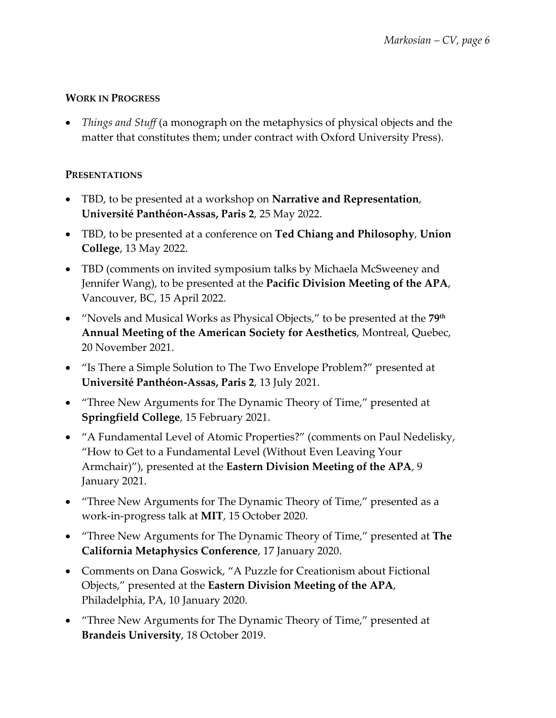## **WORK IN PROGRESS**

• *Things and Stuff* (a monograph on the metaphysics of physical objects and the matter that constitutes them; under contract with Oxford University Press).

### **PRESENTATIONS**

- TBD, to be presented at a workshop on **Narrative and Representation**, **Université Panthéon-Assas, Paris 2**, 25 May 2022.
- TBD, to be presented at a conference on **Ted Chiang and Philosophy**, **Union College**, 13 May 2022.
- TBD (comments on invited symposium talks by Michaela McSweeney and Jennifer Wang), to be presented at the **Pacific Division Meeting of the APA**, Vancouver, BC, 15 April 2022.
- "Novels and Musical Works as Physical Objects," to be presented at the **79th Annual Meeting of the American Society for Aesthetics**, Montreal, Quebec, 20 November 2021.
- "Is There a Simple Solution to The Two Envelope Problem?" presented at **Université Panthéon-Assas, Paris 2**, 13 July 2021.
- "Three New Arguments for The Dynamic Theory of Time," presented at **Springfield College**, 15 February 2021.
- "A Fundamental Level of Atomic Properties?" (comments on Paul Nedelisky, "How to Get to a Fundamental Level (Without Even Leaving Your Armchair)"), presented at the **Eastern Division Meeting of the APA**, 9 January 2021.
- "Three New Arguments for The Dynamic Theory of Time," presented as a work-in-progress talk at **MIT**, 15 October 2020.
- "Three New Arguments for The Dynamic Theory of Time," presented at **The California Metaphysics Conference**, 17 January 2020.
- Comments on Dana Goswick, "A Puzzle for Creationism about Fictional Objects," presented at the **Eastern Division Meeting of the APA**, Philadelphia, PA, 10 January 2020.
- "Three New Arguments for The Dynamic Theory of Time," presented at **Brandeis University**, 18 October 2019.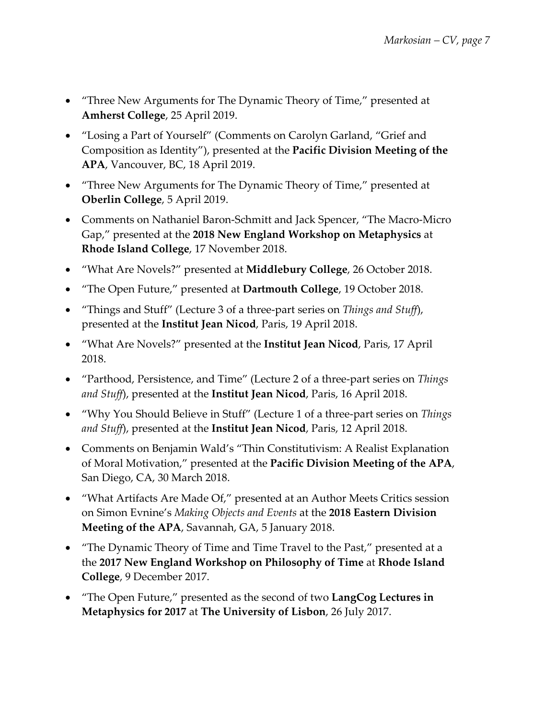- "Three New Arguments for The Dynamic Theory of Time," presented at **Amherst College**, 25 April 2019.
- "Losing a Part of Yourself" (Comments on Carolyn Garland, "Grief and Composition as Identity"), presented at the **Pacific Division Meeting of the APA**, Vancouver, BC, 18 April 2019.
- "Three New Arguments for The Dynamic Theory of Time," presented at **Oberlin College**, 5 April 2019.
- Comments on Nathaniel Baron-Schmitt and Jack Spencer, "The Macro-Micro Gap," presented at the **2018 New England Workshop on Metaphysics** at **Rhode Island College**, 17 November 2018.
- "What Are Novels?" presented at **Middlebury College**, 26 October 2018.
- "The Open Future," presented at **Dartmouth College**, 19 October 2018.
- "Things and Stuff" (Lecture 3 of a three-part series on *Things and Stuff*), presented at the **Institut Jean Nicod**, Paris, 19 April 2018.
- "What Are Novels?" presented at the **Institut Jean Nicod**, Paris, 17 April 2018.
- "Parthood, Persistence, and Time" (Lecture 2 of a three-part series on *Things and Stuff*), presented at the **Institut Jean Nicod**, Paris, 16 April 2018.
- "Why You Should Believe in Stuff" (Lecture 1 of a three-part series on *Things and Stuff*), presented at the **Institut Jean Nicod**, Paris, 12 April 2018.
- Comments on Benjamin Wald's "Thin Constitutivism: A Realist Explanation of Moral Motivation," presented at the **Pacific Division Meeting of the APA**, San Diego, CA, 30 March 2018.
- "What Artifacts Are Made Of," presented at an Author Meets Critics session on Simon Evnine's *Making Objects and Events* at the **2018 Eastern Division Meeting of the APA**, Savannah, GA, 5 January 2018.
- "The Dynamic Theory of Time and Time Travel to the Past," presented at a the **2017 New England Workshop on Philosophy of Time** at **Rhode Island College**, 9 December 2017.
- "The Open Future," presented as the second of two **LangCog Lectures in Metaphysics for 2017** at **The University of Lisbon**, 26 July 2017.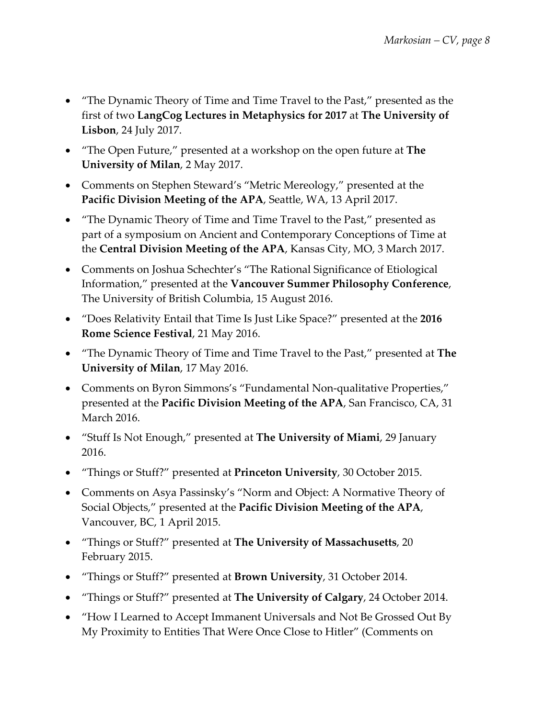- "The Dynamic Theory of Time and Time Travel to the Past," presented as the first of two **LangCog Lectures in Metaphysics for 2017** at **The University of Lisbon**, 24 July 2017.
- "The Open Future," presented at a workshop on the open future at **The University of Milan**, 2 May 2017.
- Comments on Stephen Steward's "Metric Mereology," presented at the **Pacific Division Meeting of the APA**, Seattle, WA, 13 April 2017.
- "The Dynamic Theory of Time and Time Travel to the Past," presented as part of a symposium on Ancient and Contemporary Conceptions of Time at the **Central Division Meeting of the APA**, Kansas City, MO, 3 March 2017.
- Comments on Joshua Schechter's "The Rational Significance of Etiological Information," presented at the **Vancouver Summer Philosophy Conference**, The University of British Columbia, 15 August 2016.
- "Does Relativity Entail that Time Is Just Like Space?" presented at the **2016 Rome Science Festival**, 21 May 2016.
- "The Dynamic Theory of Time and Time Travel to the Past," presented at **The University of Milan**, 17 May 2016.
- Comments on Byron Simmons's "Fundamental Non-qualitative Properties," presented at the **Pacific Division Meeting of the APA**, San Francisco, CA, 31 March 2016.
- "Stuff Is Not Enough," presented at **The University of Miami**, 29 January 2016.
- "Things or Stuff?" presented at **Princeton University**, 30 October 2015.
- Comments on Asya Passinsky's "Norm and Object: A Normative Theory of Social Objects," presented at the **Pacific Division Meeting of the APA**, Vancouver, BC, 1 April 2015.
- "Things or Stuff?" presented at **The University of Massachusetts**, 20 February 2015.
- "Things or Stuff?" presented at **Brown University**, 31 October 2014.
- "Things or Stuff?" presented at **The University of Calgary**, 24 October 2014.
- "How I Learned to Accept Immanent Universals and Not Be Grossed Out By My Proximity to Entities That Were Once Close to Hitler" (Comments on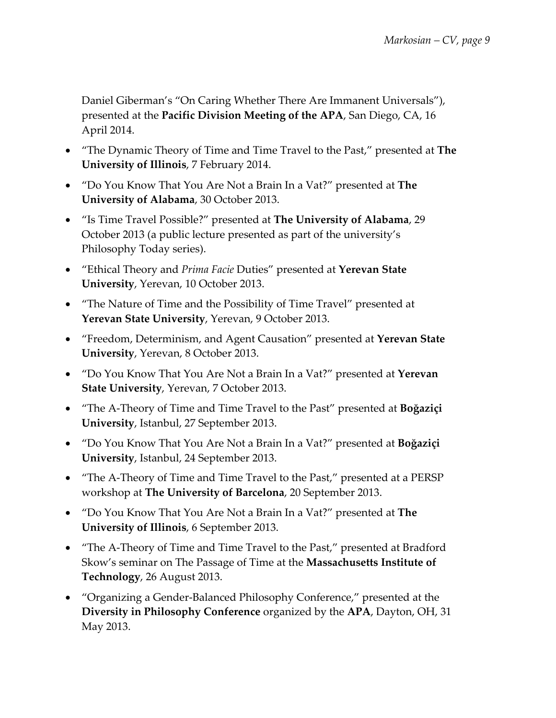Daniel Giberman's "On Caring Whether There Are Immanent Universals"), presented at the **Pacific Division Meeting of the APA**, San Diego, CA, 16 April 2014.

- "The Dynamic Theory of Time and Time Travel to the Past," presented at **The University of Illinois**, 7 February 2014.
- "Do You Know That You Are Not a Brain In a Vat?" presented at **The University of Alabama**, 30 October 2013.
- "Is Time Travel Possible?" presented at **The University of Alabama**, 29 October 2013 (a public lecture presented as part of the university's Philosophy Today series).
- "Ethical Theory and *Prima Facie* Duties" presented at **Yerevan State University**, Yerevan, 10 October 2013.
- "The Nature of Time and the Possibility of Time Travel" presented at **Yerevan State University**, Yerevan, 9 October 2013.
- "Freedom, Determinism, and Agent Causation" presented at **Yerevan State University**, Yerevan, 8 October 2013.
- "Do You Know That You Are Not a Brain In a Vat?" presented at **Yerevan State University**, Yerevan, 7 October 2013.
- "The A-Theory of Time and Time Travel to the Past" presented at **Boğaziçi University**, Istanbul, 27 September 2013.
- "Do You Know That You Are Not a Brain In a Vat?" presented at **Boğaziçi University**, Istanbul, 24 September 2013.
- "The A-Theory of Time and Time Travel to the Past," presented at a PERSP workshop at **The University of Barcelona**, 20 September 2013.
- "Do You Know That You Are Not a Brain In a Vat?" presented at **The University of Illinois**, 6 September 2013.
- "The A-Theory of Time and Time Travel to the Past," presented at Bradford Skow's seminar on The Passage of Time at the **Massachusetts Institute of Technology**, 26 August 2013.
- "Organizing a Gender-Balanced Philosophy Conference," presented at the **Diversity in Philosophy Conference** organized by the **APA**, Dayton, OH, 31 May 2013.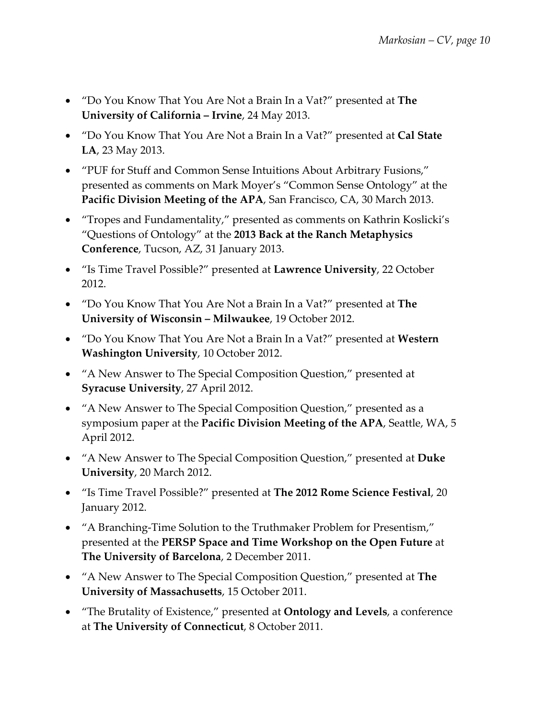- "Do You Know That You Are Not a Brain In a Vat?" presented at **The University of California – Irvine**, 24 May 2013.
- "Do You Know That You Are Not a Brain In a Vat?" presented at **Cal State LA**, 23 May 2013.
- "PUF for Stuff and Common Sense Intuitions About Arbitrary Fusions," presented as comments on Mark Moyer's "Common Sense Ontology" at the **Pacific Division Meeting of the APA**, San Francisco, CA, 30 March 2013.
- "Tropes and Fundamentality," presented as comments on Kathrin Koslicki's "Questions of Ontology" at the **2013 Back at the Ranch Metaphysics Conference**, Tucson, AZ, 31 January 2013.
- "Is Time Travel Possible?" presented at **Lawrence University**, 22 October 2012.
- "Do You Know That You Are Not a Brain In a Vat?" presented at **The University of Wisconsin – Milwaukee**, 19 October 2012.
- "Do You Know That You Are Not a Brain In a Vat?" presented at **Western Washington University**, 10 October 2012.
- "A New Answer to The Special Composition Question," presented at **Syracuse University**, 27 April 2012.
- "A New Answer to The Special Composition Question," presented as a symposium paper at the **Pacific Division Meeting of the APA**, Seattle, WA, 5 April 2012.
- "A New Answer to The Special Composition Question," presented at **Duke University**, 20 March 2012.
- "Is Time Travel Possible?" presented at **The 2012 Rome Science Festival**, 20 January 2012.
- "A Branching-Time Solution to the Truthmaker Problem for Presentism," presented at the **PERSP Space and Time Workshop on the Open Future** at **The University of Barcelona**, 2 December 2011.
- "A New Answer to The Special Composition Question," presented at **The University of Massachusetts**, 15 October 2011.
- "The Brutality of Existence," presented at **Ontology and Levels**, a conference at **The University of Connecticut**, 8 October 2011.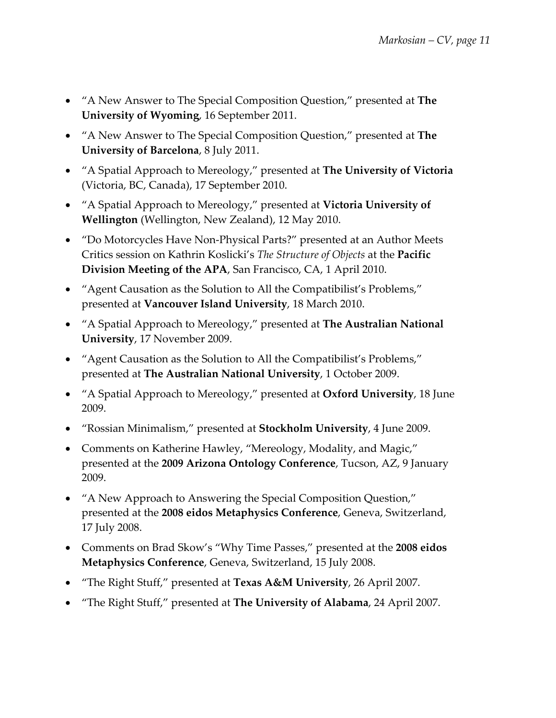- "A New Answer to The Special Composition Question," presented at **The University of Wyoming**, 16 September 2011.
- "A New Answer to The Special Composition Question," presented at **The University of Barcelona**, 8 July 2011.
- "A Spatial Approach to Mereology," presented at **The University of Victoria** (Victoria, BC, Canada), 17 September 2010.
- "A Spatial Approach to Mereology," presented at **Victoria University of Wellington** (Wellington, New Zealand), 12 May 2010.
- "Do Motorcycles Have Non-Physical Parts?" presented at an Author Meets Critics session on Kathrin Koslicki's *The Structure of Objects* at the **Pacific Division Meeting of the APA**, San Francisco, CA, 1 April 2010.
- "Agent Causation as the Solution to All the Compatibilist's Problems," presented at **Vancouver Island University**, 18 March 2010.
- "A Spatial Approach to Mereology," presented at **The Australian National University**, 17 November 2009.
- "Agent Causation as the Solution to All the Compatibilist's Problems," presented at **The Australian National University**, 1 October 2009.
- "A Spatial Approach to Mereology," presented at **Oxford University**, 18 June 2009.
- "Rossian Minimalism," presented at **Stockholm University**, 4 June 2009.
- Comments on Katherine Hawley, "Mereology, Modality, and Magic," presented at the **2009 Arizona Ontology Conference**, Tucson, AZ, 9 January 2009.
- "A New Approach to Answering the Special Composition Question," presented at the **2008 eidos Metaphysics Conference**, Geneva, Switzerland, 17 July 2008.
- Comments on Brad Skow's "Why Time Passes," presented at the **2008 eidos Metaphysics Conference**, Geneva, Switzerland, 15 July 2008.
- "The Right Stuff," presented at **Texas A&M University**, 26 April 2007.
- "The Right Stuff," presented at **The University of Alabama**, 24 April 2007.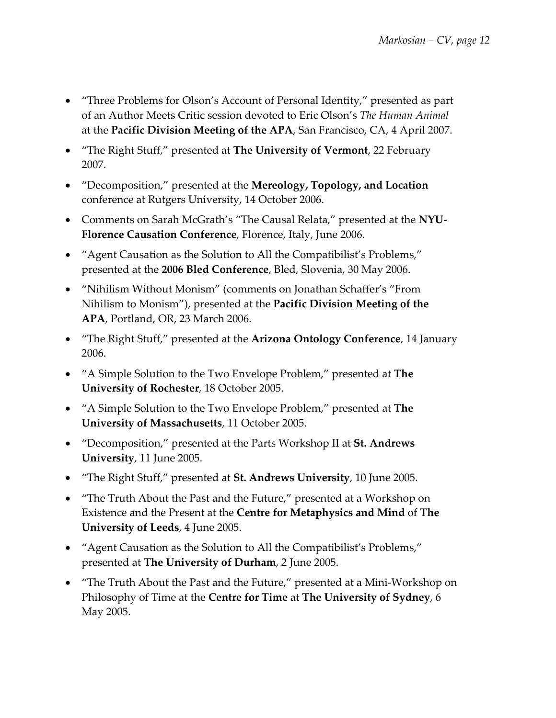- "Three Problems for Olson's Account of Personal Identity," presented as part of an Author Meets Critic session devoted to Eric Olson's *The Human Animal* at the **Pacific Division Meeting of the APA**, San Francisco, CA, 4 April 2007.
- "The Right Stuff," presented at **The University of Vermont**, 22 February 2007.
- "Decomposition," presented at the **Mereology, Topology, and Location** conference at Rutgers University, 14 October 2006.
- Comments on Sarah McGrath's "The Causal Relata," presented at the **NYU-Florence Causation Conference**, Florence, Italy, June 2006.
- "Agent Causation as the Solution to All the Compatibilist's Problems," presented at the **2006 Bled Conference**, Bled, Slovenia, 30 May 2006.
- "Nihilism Without Monism" (comments on Jonathan Schaffer's "From Nihilism to Monism"), presented at the **Pacific Division Meeting of the APA**, Portland, OR, 23 March 2006.
- "The Right Stuff," presented at the **Arizona Ontology Conference**, 14 January 2006.
- "A Simple Solution to the Two Envelope Problem," presented at **The University of Rochester**, 18 October 2005.
- "A Simple Solution to the Two Envelope Problem," presented at **The University of Massachusetts**, 11 October 2005.
- "Decomposition," presented at the Parts Workshop II at **St. Andrews University**, 11 June 2005.
- "The Right Stuff," presented at **St. Andrews University**, 10 June 2005.
- "The Truth About the Past and the Future," presented at a Workshop on Existence and the Present at the **Centre for Metaphysics and Mind** of **The University of Leeds**, 4 June 2005.
- "Agent Causation as the Solution to All the Compatibilist's Problems," presented at **The University of Durham**, 2 June 2005.
- "The Truth About the Past and the Future," presented at a Mini-Workshop on Philosophy of Time at the **Centre for Time** at **The University of Sydney**, 6 May 2005.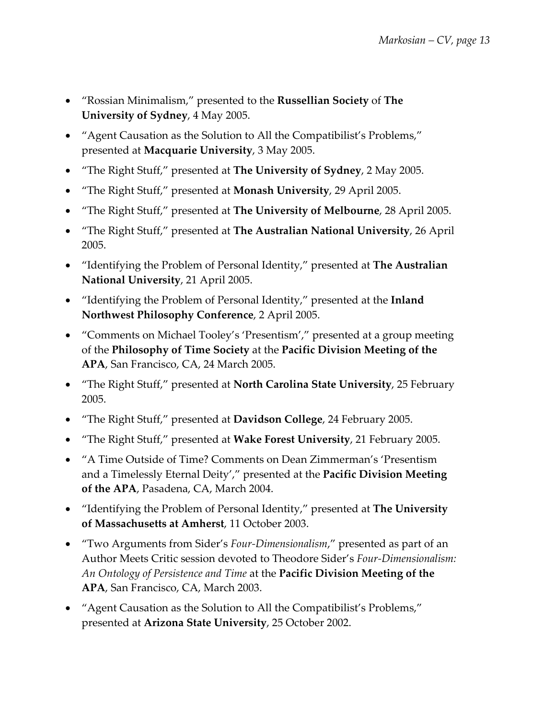- "Rossian Minimalism," presented to the **Russellian Society** of **The University of Sydney**, 4 May 2005.
- "Agent Causation as the Solution to All the Compatibilist's Problems," presented at **Macquarie University**, 3 May 2005.
- "The Right Stuff," presented at **The University of Sydney**, 2 May 2005.
- "The Right Stuff," presented at **Monash University**, 29 April 2005.
- "The Right Stuff," presented at **The University of Melbourne**, 28 April 2005.
- "The Right Stuff," presented at **The Australian National University**, 26 April 2005.
- "Identifying the Problem of Personal Identity," presented at **The Australian National University**, 21 April 2005.
- "Identifying the Problem of Personal Identity," presented at the **Inland Northwest Philosophy Conference**, 2 April 2005.
- "Comments on Michael Tooley's 'Presentism'," presented at a group meeting of the **Philosophy of Time Society** at the **Pacific Division Meeting of the APA**, San Francisco, CA, 24 March 2005.
- "The Right Stuff," presented at **North Carolina State University**, 25 February 2005.
- "The Right Stuff," presented at **Davidson College**, 24 February 2005.
- "The Right Stuff," presented at **Wake Forest University**, 21 February 2005.
- "A Time Outside of Time? Comments on Dean Zimmerman's 'Presentism and a Timelessly Eternal Deity'," presented at the **Pacific Division Meeting of the APA**, Pasadena, CA, March 2004.
- "Identifying the Problem of Personal Identity," presented at **The University of Massachusetts at Amherst**, 11 October 2003.
- "Two Arguments from Sider's *Four-Dimensionalism*," presented as part of an Author Meets Critic session devoted to Theodore Sider's *Four-Dimensionalism: An Ontology of Persistence and Time* at the **Pacific Division Meeting of the APA**, San Francisco, CA, March 2003.
- "Agent Causation as the Solution to All the Compatibilist's Problems," presented at **Arizona State University**, 25 October 2002.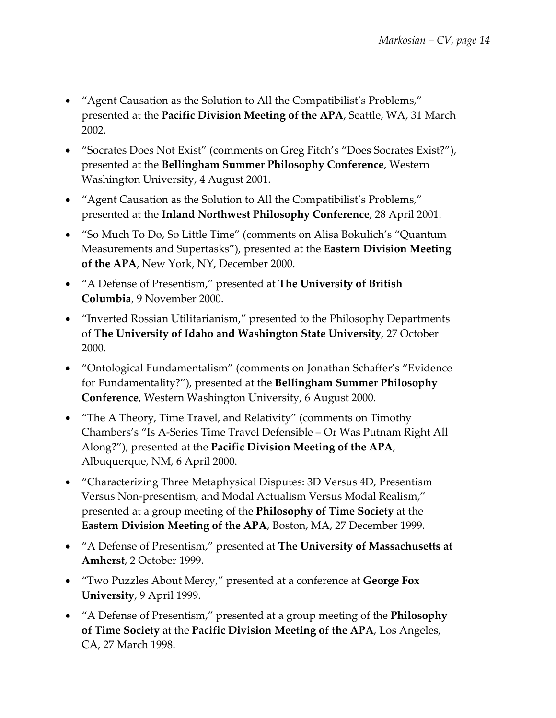- "Agent Causation as the Solution to All the Compatibilist's Problems," presented at the **Pacific Division Meeting of the APA**, Seattle, WA, 31 March 2002.
- "Socrates Does Not Exist" (comments on Greg Fitch's "Does Socrates Exist?"), presented at the **Bellingham Summer Philosophy Conference**, Western Washington University, 4 August 2001.
- "Agent Causation as the Solution to All the Compatibilist's Problems," presented at the **Inland Northwest Philosophy Conference**, 28 April 2001.
- "So Much To Do, So Little Time" (comments on Alisa Bokulich's "Quantum Measurements and Supertasks"), presented at the **Eastern Division Meeting of the APA**, New York, NY, December 2000.
- "A Defense of Presentism," presented at **The University of British Columbia**, 9 November 2000.
- "Inverted Rossian Utilitarianism," presented to the Philosophy Departments of **The University of Idaho and Washington State University**, 27 October 2000.
- "Ontological Fundamentalism" (comments on Jonathan Schaffer's "Evidence for Fundamentality?"), presented at the **Bellingham Summer Philosophy Conference**, Western Washington University, 6 August 2000.
- "The A Theory, Time Travel, and Relativity" (comments on Timothy Chambers's "Is A-Series Time Travel Defensible – Or Was Putnam Right All Along?"), presented at the **Pacific Division Meeting of the APA**, Albuquerque, NM, 6 April 2000.
- "Characterizing Three Metaphysical Disputes: 3D Versus 4D, Presentism Versus Non-presentism, and Modal Actualism Versus Modal Realism," presented at a group meeting of the **Philosophy of Time Society** at the **Eastern Division Meeting of the APA**, Boston, MA, 27 December 1999.
- "A Defense of Presentism," presented at **The University of Massachusetts at Amherst**, 2 October 1999.
- "Two Puzzles About Mercy," presented at a conference at **George Fox University**, 9 April 1999.
- "A Defense of Presentism," presented at a group meeting of the **Philosophy of Time Society** at the **Pacific Division Meeting of the APA**, Los Angeles, CA, 27 March 1998.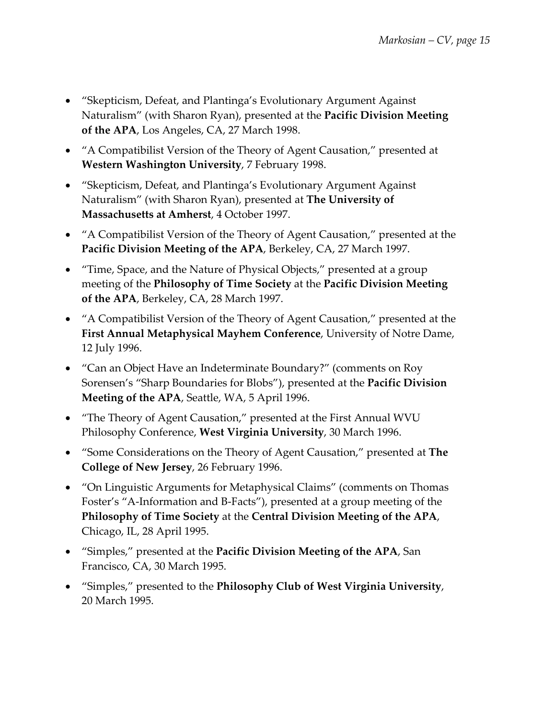- "Skepticism, Defeat, and Plantinga's Evolutionary Argument Against Naturalism" (with Sharon Ryan), presented at the **Pacific Division Meeting of the APA**, Los Angeles, CA, 27 March 1998.
- "A Compatibilist Version of the Theory of Agent Causation," presented at **Western Washington University**, 7 February 1998.
- "Skepticism, Defeat, and Plantinga's Evolutionary Argument Against Naturalism" (with Sharon Ryan), presented at **The University of Massachusetts at Amherst**, 4 October 1997.
- "A Compatibilist Version of the Theory of Agent Causation," presented at the **Pacific Division Meeting of the APA**, Berkeley, CA, 27 March 1997.
- "Time, Space, and the Nature of Physical Objects," presented at a group meeting of the **Philosophy of Time Society** at the **Pacific Division Meeting of the APA**, Berkeley, CA, 28 March 1997.
- "A Compatibilist Version of the Theory of Agent Causation," presented at the **First Annual Metaphysical Mayhem Conference**, University of Notre Dame, 12 July 1996.
- "Can an Object Have an Indeterminate Boundary?" (comments on Roy Sorensen's "Sharp Boundaries for Blobs"), presented at the **Pacific Division Meeting of the APA**, Seattle, WA, 5 April 1996.
- "The Theory of Agent Causation," presented at the First Annual WVU Philosophy Conference, **West Virginia University**, 30 March 1996.
- "Some Considerations on the Theory of Agent Causation," presented at **The College of New Jersey**, 26 February 1996.
- "On Linguistic Arguments for Metaphysical Claims" (comments on Thomas Foster's "A-Information and B-Facts"), presented at a group meeting of the **Philosophy of Time Society** at the **Central Division Meeting of the APA**, Chicago, IL, 28 April 1995.
- "Simples," presented at the **Pacific Division Meeting of the APA**, San Francisco, CA, 30 March 1995.
- "Simples," presented to the **Philosophy Club of West Virginia University**, 20 March 1995.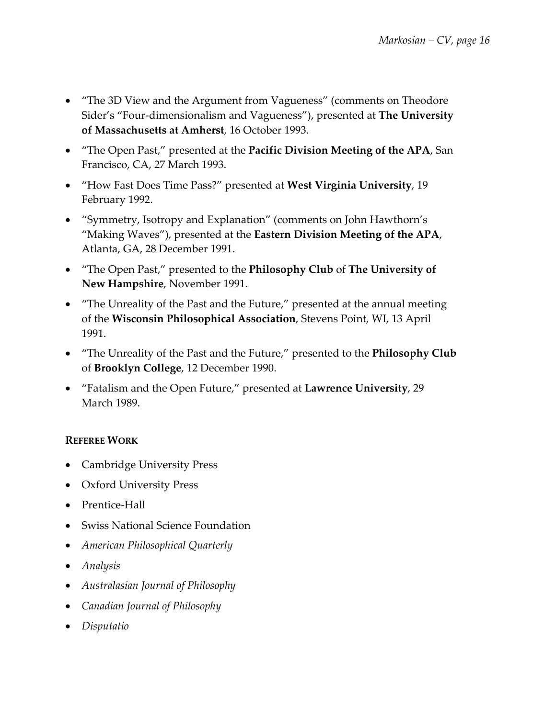- "The 3D View and the Argument from Vagueness" (comments on Theodore Sider's "Four-dimensionalism and Vagueness"), presented at **The University of Massachusetts at Amherst**, 16 October 1993.
- "The Open Past," presented at the **Pacific Division Meeting of the APA**, San Francisco, CA, 27 March 1993.
- "How Fast Does Time Pass?" presented at **West Virginia University**, 19 February 1992.
- "Symmetry, Isotropy and Explanation" (comments on John Hawthorn's "Making Waves"), presented at the **Eastern Division Meeting of the APA**, Atlanta, GA, 28 December 1991.
- "The Open Past," presented to the **Philosophy Club** of **The University of New Hampshire**, November 1991.
- "The Unreality of the Past and the Future," presented at the annual meeting of the **Wisconsin Philosophical Association**, Stevens Point, WI, 13 April 1991.
- "The Unreality of the Past and the Future," presented to the **Philosophy Club**  of **Brooklyn College**, 12 December 1990.
- "Fatalism and the Open Future," presented at **Lawrence University**, 29 March 1989.

## **REFEREE WORK**

- Cambridge University Press
- Oxford University Press
- Prentice-Hall
- Swiss National Science Foundation
- *American Philosophical Quarterly*
- *Analysis*
- *Australasian Journal of Philosophy*
- *Canadian Journal of Philosophy*
- *Disputatio*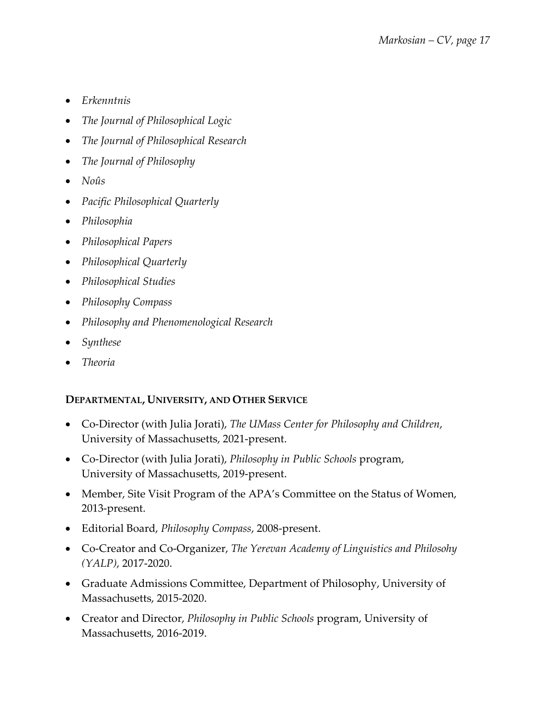- *Erkenntnis*
- *The Journal of Philosophical Logic*
- *The Journal of Philosophical Research*
- *The Journal of Philosophy*
- *Noûs*
- *Pacific Philosophical Quarterly*
- *Philosophia*
- *Philosophical Papers*
- *Philosophical Quarterly*
- *Philosophical Studies*
- *Philosophy Compass*
- *Philosophy and Phenomenological Research*
- *Synthese*
- *Theoria*

## **DEPARTMENTAL, UNIVERSITY, AND OTHER SERVICE**

- Co-Director (with Julia Jorati), *The UMass Center for Philosophy and Children*, University of Massachusetts, 2021-present.
- Co-Director (with Julia Jorati), *Philosophy in Public Schools* program, University of Massachusetts, 2019-present.
- Member, Site Visit Program of the APA's Committee on the Status of Women, 2013-present.
- Editorial Board, *Philosophy Compass*, 2008-present.
- Co-Creator and Co-Organizer, *The Yerevan Academy of Linguistics and Philosohy (YALP)*, 2017-2020.
- Graduate Admissions Committee, Department of Philosophy, University of Massachusetts, 2015-2020.
- Creator and Director, *Philosophy in Public Schools* program, University of Massachusetts, 2016-2019.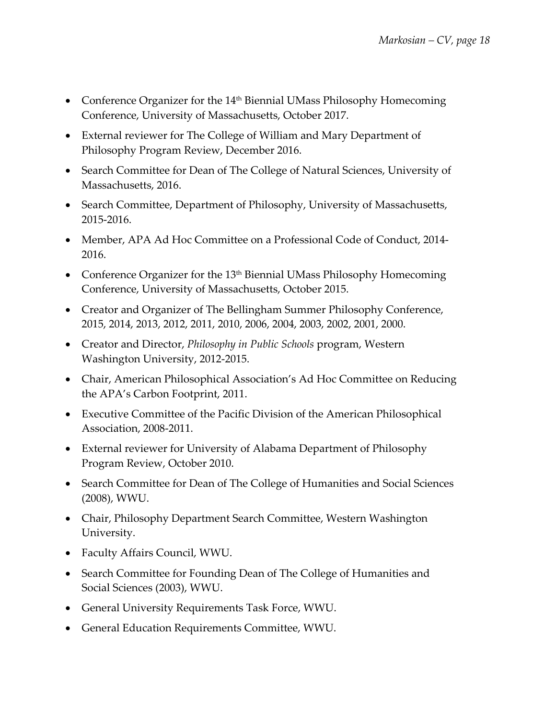- Conference Organizer for the 14<sup>th</sup> Biennial UMass Philosophy Homecoming Conference, University of Massachusetts, October 2017.
- External reviewer for The College of William and Mary Department of Philosophy Program Review, December 2016.
- Search Committee for Dean of The College of Natural Sciences, University of Massachusetts, 2016.
- Search Committee, Department of Philosophy, University of Massachusetts, 2015-2016.
- Member, APA Ad Hoc Committee on a Professional Code of Conduct, 2014- 2016.
- Conference Organizer for the  $13<sup>th</sup>$  Biennial UMass Philosophy Homecoming Conference, University of Massachusetts, October 2015.
- Creator and Organizer of The Bellingham Summer Philosophy Conference, 2015, 2014, 2013, 2012, 2011, 2010, 2006, 2004, 2003, 2002, 2001, 2000.
- Creator and Director, *Philosophy in Public Schools* program, Western Washington University, 2012-2015.
- Chair, American Philosophical Association's Ad Hoc Committee on Reducing the APA's Carbon Footprint, 2011.
- Executive Committee of the Pacific Division of the American Philosophical Association, 2008-2011.
- External reviewer for University of Alabama Department of Philosophy Program Review, October 2010.
- Search Committee for Dean of The College of Humanities and Social Sciences (2008), WWU.
- Chair, Philosophy Department Search Committee, Western Washington University.
- Faculty Affairs Council, WWU.
- Search Committee for Founding Dean of The College of Humanities and Social Sciences (2003), WWU.
- General University Requirements Task Force, WWU.
- General Education Requirements Committee, WWU.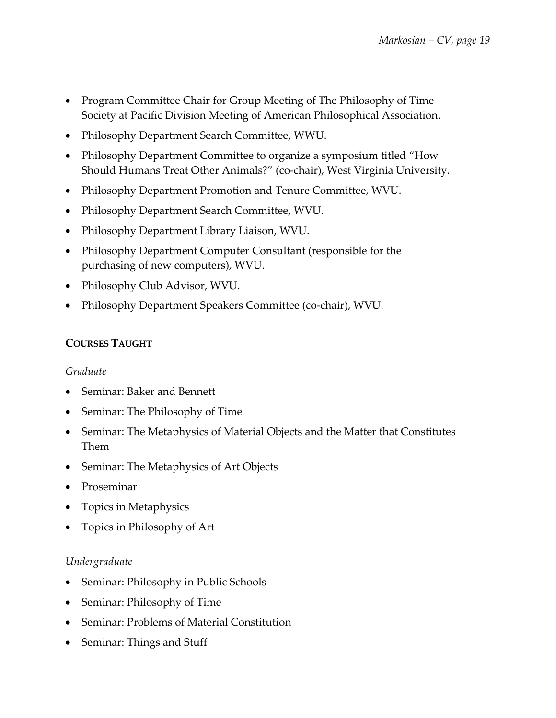- Program Committee Chair for Group Meeting of The Philosophy of Time Society at Pacific Division Meeting of American Philosophical Association.
- Philosophy Department Search Committee, WWU.
- Philosophy Department Committee to organize a symposium titled "How Should Humans Treat Other Animals?" (co-chair), West Virginia University.
- Philosophy Department Promotion and Tenure Committee, WVU.
- Philosophy Department Search Committee, WVU.
- Philosophy Department Library Liaison, WVU.
- Philosophy Department Computer Consultant (responsible for the purchasing of new computers), WVU.
- Philosophy Club Advisor, WVU.
- Philosophy Department Speakers Committee (co-chair), WVU.

## **COURSES TAUGHT**

### *Graduate*

- Seminar: Baker and Bennett
- Seminar: The Philosophy of Time
- Seminar: The Metaphysics of Material Objects and the Matter that Constitutes Them
- Seminar: The Metaphysics of Art Objects
- Proseminar
- Topics in Metaphysics
- Topics in Philosophy of Art

## *Undergraduate*

- Seminar: Philosophy in Public Schools
- Seminar: Philosophy of Time
- Seminar: Problems of Material Constitution
- Seminar: Things and Stuff